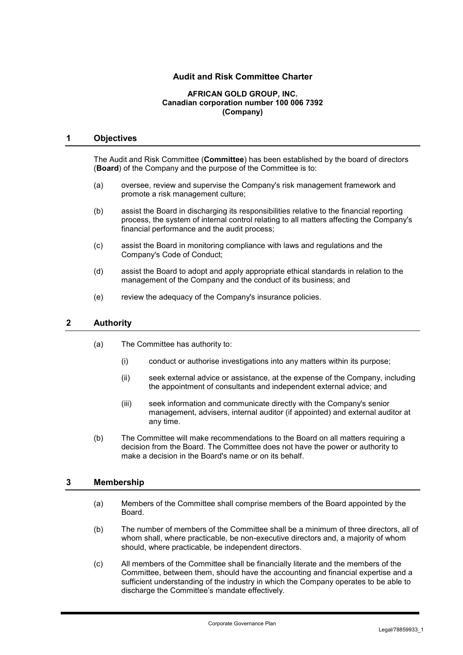# **Audit and Risk Committee Charter**

#### **AFRICAN GOLD GROUP, INC. Canadian corporation number 100 006 7392 (Company)**

### **1 Objectives**

The Audit and Risk Committee (**Committee**) has been established by the board of directors (**Board**) of the Company and the purpose of the Committee is to:

- (a) oversee, review and supervise the Company's risk management framework and promote a risk management culture;
- (b) assist the Board in discharging its responsibilities relative to the financial reporting process, the system of internal control relating to all matters affecting the Company's financial performance and the audit process;
- (c) assist the Board in monitoring compliance with laws and regulations and the Company's Code of Conduct;
- (d) assist the Board to adopt and apply appropriate ethical standards in relation to the management of the Company and the conduct of its business; and
- (e) review the adequacy of the Company's insurance policies.

# **2 Authority**

- (a) The Committee has authority to:
	- (i) conduct or authorise investigations into any matters within its purpose;
	- (ii) seek external advice or assistance, at the expense of the Company, including the appointment of consultants and independent external advice; and
	- (iii) seek information and communicate directly with the Company's senior management, advisers, internal auditor (if appointed) and external auditor at any time.
- (b) The Committee will make recommendations to the Board on all matters requiring a decision from the Board. The Committee does not have the power or authority to make a decision in the Board's name or on its behalf.

# **3 Membership**

- (a) Members of the Committee shall comprise members of the Board appointed by the Board.
- (b) The number of members of the Committee shall be a minimum of three directors, all of whom shall, where practicable, be non-executive directors and, a majority of whom should, where practicable, be independent directors.
- (c) All members of the Committee shall be financially literate and the members of the Committee, between them, should have the accounting and financial expertise and a sufficient understanding of the industry in which the Company operates to be able to discharge the Committee's mandate effectively.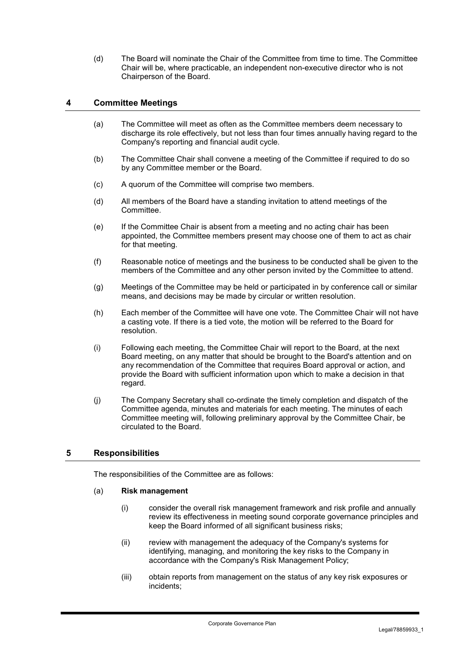(d) The Board will nominate the Chair of the Committee from time to time. The Committee Chair will be, where practicable, an independent non-executive director who is not Chairperson of the Board.

# **4 Committee Meetings**

- (a) The Committee will meet as often as the Committee members deem necessary to discharge its role effectively, but not less than four times annually having regard to the Company's reporting and financial audit cycle.
- (b) The Committee Chair shall convene a meeting of the Committee if required to do so by any Committee member or the Board.
- (c) A quorum of the Committee will comprise two members.
- (d) All members of the Board have a standing invitation to attend meetings of the **Committee.**
- (e) If the Committee Chair is absent from a meeting and no acting chair has been appointed, the Committee members present may choose one of them to act as chair for that meeting.
- (f) Reasonable notice of meetings and the business to be conducted shall be given to the members of the Committee and any other person invited by the Committee to attend.
- (g) Meetings of the Committee may be held or participated in by conference call or similar means, and decisions may be made by circular or written resolution.
- (h) Each member of the Committee will have one vote. The Committee Chair will not have a casting vote. If there is a tied vote, the motion will be referred to the Board for resolution.
- (i) Following each meeting, the Committee Chair will report to the Board, at the next Board meeting, on any matter that should be brought to the Board's attention and on any recommendation of the Committee that requires Board approval or action, and provide the Board with sufficient information upon which to make a decision in that regard.
- (j) The Company Secretary shall co-ordinate the timely completion and dispatch of the Committee agenda, minutes and materials for each meeting. The minutes of each Committee meeting will, following preliminary approval by the Committee Chair, be circulated to the Board.

# **5 Responsibilities**

The responsibilities of the Committee are as follows:

# (a) **Risk management**

- (i) consider the overall risk management framework and risk profile and annually review its effectiveness in meeting sound corporate governance principles and keep the Board informed of all significant business risks;
- (ii) review with management the adequacy of the Company's systems for identifying, managing, and monitoring the key risks to the Company in accordance with the Company's Risk Management Policy;
- (iii) obtain reports from management on the status of any key risk exposures or incidents;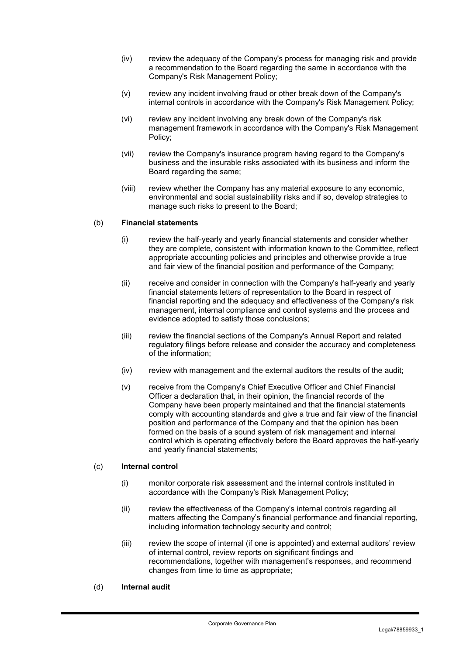- (iv) review the adequacy of the Company's process for managing risk and provide a recommendation to the Board regarding the same in accordance with the Company's Risk Management Policy;
- (v) review any incident involving fraud or other break down of the Company's internal controls in accordance with the Company's Risk Management Policy;
- (vi) review any incident involving any break down of the Company's risk management framework in accordance with the Company's Risk Management Policy;
- (vii) review the Company's insurance program having regard to the Company's business and the insurable risks associated with its business and inform the Board regarding the same;
- (viii) review whether the Company has any material exposure to any economic, environmental and social sustainability risks and if so, develop strategies to manage such risks to present to the Board;

### (b) **Financial statements**

- (i) review the half-yearly and yearly financial statements and consider whether they are complete, consistent with information known to the Committee, reflect appropriate accounting policies and principles and otherwise provide a true and fair view of the financial position and performance of the Company;
- (ii) receive and consider in connection with the Company's half-yearly and yearly financial statements letters of representation to the Board in respect of financial reporting and the adequacy and effectiveness of the Company's risk management, internal compliance and control systems and the process and evidence adopted to satisfy those conclusions;
- (iii) review the financial sections of the Company's Annual Report and related regulatory filings before release and consider the accuracy and completeness of the information;
- $(iv)$  review with management and the external auditors the results of the audit;
- (v) receive from the Company's Chief Executive Officer and Chief Financial Officer a declaration that, in their opinion, the financial records of the Company have been properly maintained and that the financial statements comply with accounting standards and give a true and fair view of the financial position and performance of the Company and that the opinion has been formed on the basis of a sound system of risk management and internal control which is operating effectively before the Board approves the half-yearly and yearly financial statements;

#### (c) **Internal control**

- (i) monitor corporate risk assessment and the internal controls instituted in accordance with the Company's Risk Management Policy;
- (ii) review the effectiveness of the Company's internal controls regarding all matters affecting the Company's financial performance and financial reporting, including information technology security and control;
- (iii) review the scope of internal (if one is appointed) and external auditors' review of internal control, review reports on significant findings and recommendations, together with management's responses, and recommend changes from time to time as appropriate;
- (d) **Internal audit**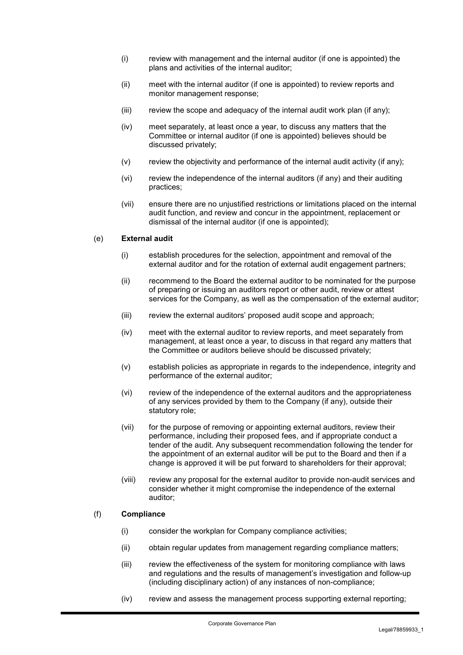- (i) review with management and the internal auditor (if one is appointed) the plans and activities of the internal auditor;
- (ii) meet with the internal auditor (if one is appointed) to review reports and monitor management response;
- $(iii)$  review the scope and adequacy of the internal audit work plan (if any);
- (iv) meet separately, at least once a year, to discuss any matters that the Committee or internal auditor (if one is appointed) believes should be discussed privately;
- (v) review the objectivity and performance of the internal audit activity (if any);
- (vi) review the independence of the internal auditors (if any) and their auditing practices;
- (vii) ensure there are no unjustified restrictions or limitations placed on the internal audit function, and review and concur in the appointment, replacement or dismissal of the internal auditor (if one is appointed);

### (e) **External audit**

- (i) establish procedures for the selection, appointment and removal of the external auditor and for the rotation of external audit engagement partners;
- (ii) recommend to the Board the external auditor to be nominated for the purpose of preparing or issuing an auditors report or other audit, review or attest services for the Company, as well as the compensation of the external auditor;
- (iii) review the external auditors' proposed audit scope and approach;
- (iv) meet with the external auditor to review reports, and meet separately from management, at least once a year, to discuss in that regard any matters that the Committee or auditors believe should be discussed privately;
- (v) establish policies as appropriate in regards to the independence, integrity and performance of the external auditor;
- (vi) review of the independence of the external auditors and the appropriateness of any services provided by them to the Company (if any), outside their statutory role;
- (vii) for the purpose of removing or appointing external auditors, review their performance, including their proposed fees, and if appropriate conduct a tender of the audit. Any subsequent recommendation following the tender for the appointment of an external auditor will be put to the Board and then if a change is approved it will be put forward to shareholders for their approval;
- (viii) review any proposal for the external auditor to provide non-audit services and consider whether it might compromise the independence of the external auditor;

#### (f) **Compliance**

- (i) consider the workplan for Company compliance activities;
- (ii) obtain regular updates from management regarding compliance matters;
- (iii) review the effectiveness of the system for monitoring compliance with laws and regulations and the results of management's investigation and follow-up (including disciplinary action) of any instances of non-compliance;
- (iv) review and assess the management process supporting external reporting;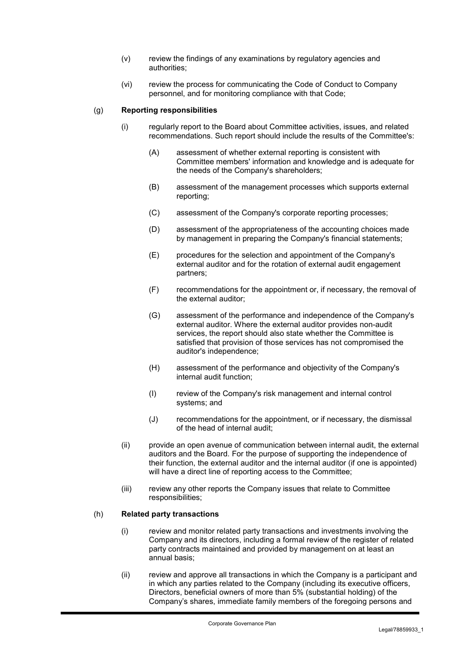- (v) review the findings of any examinations by regulatory agencies and authorities;
- (vi) review the process for communicating the Code of Conduct to Company personnel, and for monitoring compliance with that Code;

### (g) **Reporting responsibilities**

- (i) regularly report to the Board about Committee activities, issues, and related recommendations. Such report should include the results of the Committee's:
	- (A) assessment of whether external reporting is consistent with Committee members' information and knowledge and is adequate for the needs of the Company's shareholders;
	- (B) assessment of the management processes which supports external reporting;
	- (C) assessment of the Company's corporate reporting processes;
	- (D) assessment of the appropriateness of the accounting choices made by management in preparing the Company's financial statements;
	- (E) procedures for the selection and appointment of the Company's external auditor and for the rotation of external audit engagement partners;
	- (F) recommendations for the appointment or, if necessary, the removal of the external auditor;
	- (G) assessment of the performance and independence of the Company's external auditor. Where the external auditor provides non-audit services, the report should also state whether the Committee is satisfied that provision of those services has not compromised the auditor's independence;
	- (H) assessment of the performance and objectivity of the Company's internal audit function;
	- (I) review of the Company's risk management and internal control systems; and
	- (J) recommendations for the appointment, or if necessary, the dismissal of the head of internal audit;
- (ii) provide an open avenue of communication between internal audit, the external auditors and the Board. For the purpose of supporting the independence of their function, the external auditor and the internal auditor (if one is appointed) will have a direct line of reporting access to the Committee;
- (iii) review any other reports the Company issues that relate to Committee responsibilities;

# (h) **Related party transactions**

- (i) review and monitor related party transactions and investments involving the Company and its directors, including a formal review of the register of related party contracts maintained and provided by management on at least an annual basis;
- (ii) review and approve all transactions in which the Company is a participant and in which any parties related to the Company (including its executive officers, Directors, beneficial owners of more than 5% (substantial holding) of the Company's shares, immediate family members of the foregoing persons and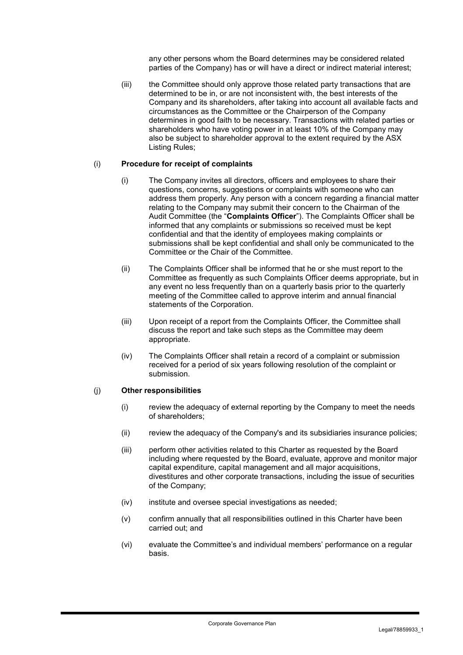any other persons whom the Board determines may be considered related parties of the Company) has or will have a direct or indirect material interest;

(iii) the Committee should only approve those related party transactions that are determined to be in, or are not inconsistent with, the best interests of the Company and its shareholders, after taking into account all available facts and circumstances as the Committee or the Chairperson of the Company determines in good faith to be necessary. Transactions with related parties or shareholders who have voting power in at least 10% of the Company may also be subject to shareholder approval to the extent required by the ASX Listing Rules;

### (i) **Procedure for receipt of complaints**

- (i) The Company invites all directors, officers and employees to share their questions, concerns, suggestions or complaints with someone who can address them properly. Any person with a concern regarding a financial matter relating to the Company may submit their concern to the Chairman of the Audit Committee (the "**Complaints Officer**"). The Complaints Officer shall be informed that any complaints or submissions so received must be kept confidential and that the identity of employees making complaints or submissions shall be kept confidential and shall only be communicated to the Committee or the Chair of the Committee.
- (ii) The Complaints Officer shall be informed that he or she must report to the Committee as frequently as such Complaints Officer deems appropriate, but in any event no less frequently than on a quarterly basis prior to the quarterly meeting of the Committee called to approve interim and annual financial statements of the Corporation.
- (iii) Upon receipt of a report from the Complaints Officer, the Committee shall discuss the report and take such steps as the Committee may deem appropriate.
- (iv) The Complaints Officer shall retain a record of a complaint or submission received for a period of six years following resolution of the complaint or submission.

#### (j) **Other responsibilities**

- (i) review the adequacy of external reporting by the Company to meet the needs of shareholders;
- (ii) review the adequacy of the Company's and its subsidiaries insurance policies;
- (iii) perform other activities related to this Charter as requested by the Board including where requested by the Board, evaluate, approve and monitor major capital expenditure, capital management and all major acquisitions, divestitures and other corporate transactions, including the issue of securities of the Company;
- (iv) institute and oversee special investigations as needed;
- (v) confirm annually that all responsibilities outlined in this Charter have been carried out; and
- (vi) evaluate the Committee's and individual members' performance on a regular basis.